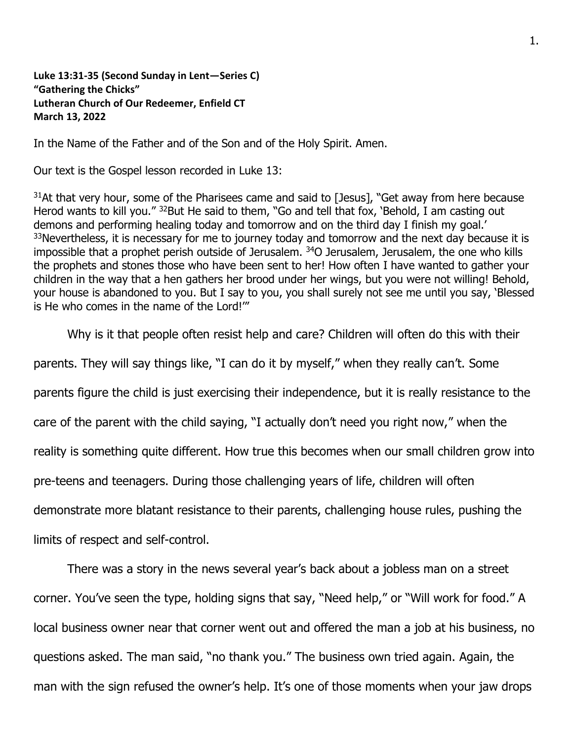**Luke 13:31-35 (Second Sunday in Lent—Series C) "Gathering the Chicks" Lutheran Church of Our Redeemer, Enfield CT March 13, 2022**

In the Name of the Father and of the Son and of the Holy Spirit. Amen.

Our text is the Gospel lesson recorded in Luke 13:

 $31$ At that very hour, some of the Pharisees came and said to [Jesus], "Get away from here because Herod wants to kill you." <sup>32</sup>But He said to them, "Go and tell that fox, 'Behold, I am casting out demons and performing healing today and tomorrow and on the third day I finish my goal.' <sup>33</sup>Nevertheless, it is necessary for me to journey today and tomorrow and the next day because it is impossible that a prophet perish outside of Jerusalem.  $34O$  Jerusalem, Jerusalem, the one who kills the prophets and stones those who have been sent to her! How often I have wanted to gather your children in the way that a hen gathers her brood under her wings, but you were not willing! Behold, your house is abandoned to you. But I say to you, you shall surely not see me until you say, 'Blessed is He who comes in the name of the Lord!'"

Why is it that people often resist help and care? Children will often do this with their

parents. They will say things like, "I can do it by myself," when they really can't. Some

parents figure the child is just exercising their independence, but it is really resistance to the

care of the parent with the child saying, "I actually don't need you right now," when the

reality is something quite different. How true this becomes when our small children grow into

pre-teens and teenagers. During those challenging years of life, children will often

demonstrate more blatant resistance to their parents, challenging house rules, pushing the

limits of respect and self-control.

There was a story in the news several year's back about a jobless man on a street corner. You've seen the type, holding signs that say, "Need help," or "Will work for food." A local business owner near that corner went out and offered the man a job at his business, no questions asked. The man said, "no thank you." The business own tried again. Again, the man with the sign refused the owner's help. It's one of those moments when your jaw drops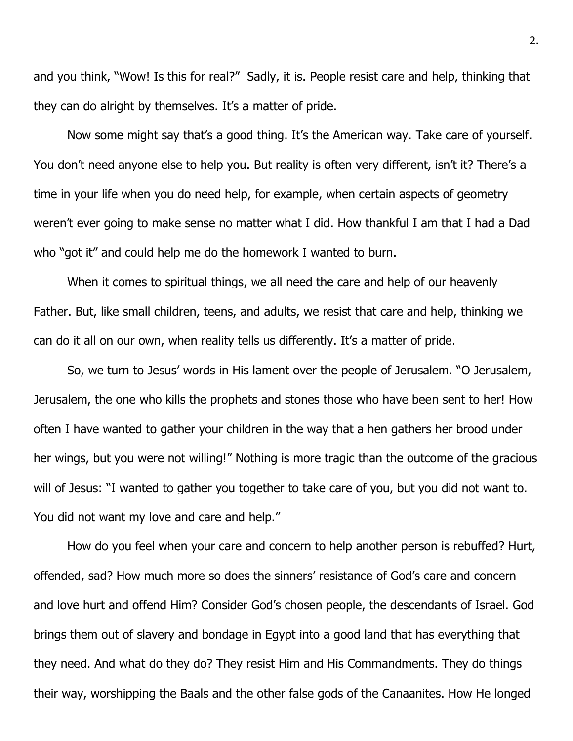and you think, "Wow! Is this for real?" Sadly, it is. People resist care and help, thinking that they can do alright by themselves. It's a matter of pride.

Now some might say that's a good thing. It's the American way. Take care of yourself. You don't need anyone else to help you. But reality is often very different, isn't it? There's a time in your life when you do need help, for example, when certain aspects of geometry weren't ever going to make sense no matter what I did. How thankful I am that I had a Dad who "got it" and could help me do the homework I wanted to burn.

When it comes to spiritual things, we all need the care and help of our heavenly Father. But, like small children, teens, and adults, we resist that care and help, thinking we can do it all on our own, when reality tells us differently. It's a matter of pride.

So, we turn to Jesus' words in His lament over the people of Jerusalem. "O Jerusalem, Jerusalem, the one who kills the prophets and stones those who have been sent to her! How often I have wanted to gather your children in the way that a hen gathers her brood under her wings, but you were not willing!" Nothing is more tragic than the outcome of the gracious will of Jesus: "I wanted to gather you together to take care of you, but you did not want to. You did not want my love and care and help."

How do you feel when your care and concern to help another person is rebuffed? Hurt, offended, sad? How much more so does the sinners' resistance of God's care and concern and love hurt and offend Him? Consider God's chosen people, the descendants of Israel. God brings them out of slavery and bondage in Egypt into a good land that has everything that they need. And what do they do? They resist Him and His Commandments. They do things their way, worshipping the Baals and the other false gods of the Canaanites. How He longed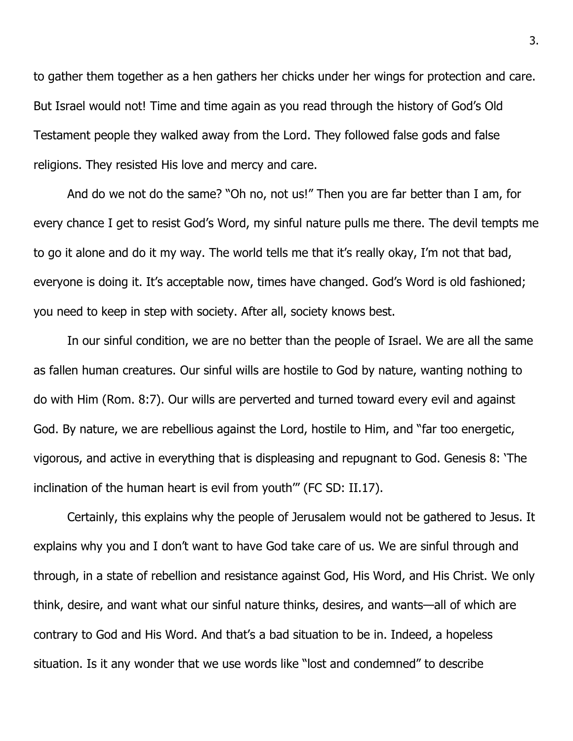to gather them together as a hen gathers her chicks under her wings for protection and care. But Israel would not! Time and time again as you read through the history of God's Old Testament people they walked away from the Lord. They followed false gods and false religions. They resisted His love and mercy and care.

And do we not do the same? "Oh no, not us!" Then you are far better than I am, for every chance I get to resist God's Word, my sinful nature pulls me there. The devil tempts me to go it alone and do it my way. The world tells me that it's really okay, I'm not that bad, everyone is doing it. It's acceptable now, times have changed. God's Word is old fashioned; you need to keep in step with society. After all, society knows best.

In our sinful condition, we are no better than the people of Israel. We are all the same as fallen human creatures. Our sinful wills are hostile to God by nature, wanting nothing to do with Him (Rom. 8:7). Our wills are perverted and turned toward every evil and against God. By nature, we are rebellious against the Lord, hostile to Him, and "far too energetic, vigorous, and active in everything that is displeasing and repugnant to God. Genesis 8: 'The inclination of the human heart is evil from youth'" (FC SD: II.17).

Certainly, this explains why the people of Jerusalem would not be gathered to Jesus. It explains why you and I don't want to have God take care of us. We are sinful through and through, in a state of rebellion and resistance against God, His Word, and His Christ. We only think, desire, and want what our sinful nature thinks, desires, and wants—all of which are contrary to God and His Word. And that's a bad situation to be in. Indeed, a hopeless situation. Is it any wonder that we use words like "lost and condemned" to describe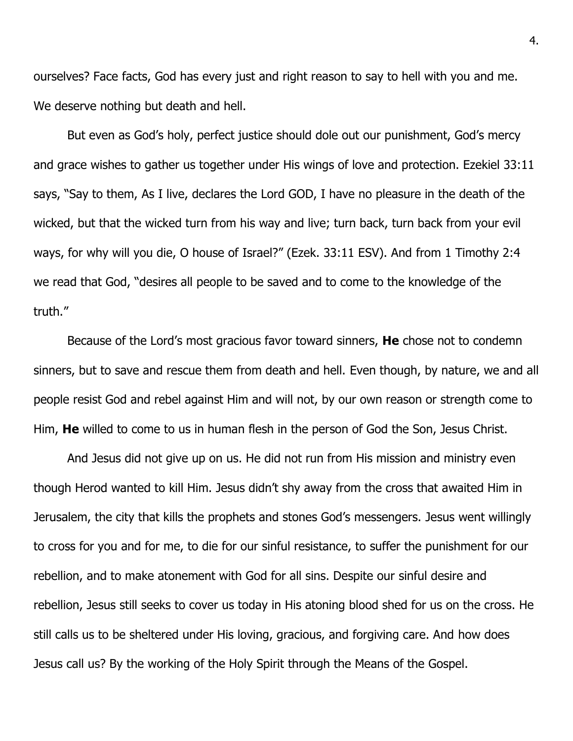ourselves? Face facts, God has every just and right reason to say to hell with you and me. We deserve nothing but death and hell.

But even as God's holy, perfect justice should dole out our punishment, God's mercy and grace wishes to gather us together under His wings of love and protection. Ezekiel 33:11 says, "Say to them, As I live, declares the Lord GOD, I have no pleasure in the death of the wicked, but that the wicked turn from his way and live; turn back, turn back from your evil ways, for why will you die, O house of Israel?" (Ezek. 33:11 ESV). And from 1 Timothy 2:4 we read that God, "desires all people to be saved and to come to the knowledge of the truth."

Because of the Lord's most gracious favor toward sinners, **He** chose not to condemn sinners, but to save and rescue them from death and hell. Even though, by nature, we and all people resist God and rebel against Him and will not, by our own reason or strength come to Him, **He** willed to come to us in human flesh in the person of God the Son, Jesus Christ.

And Jesus did not give up on us. He did not run from His mission and ministry even though Herod wanted to kill Him. Jesus didn't shy away from the cross that awaited Him in Jerusalem, the city that kills the prophets and stones God's messengers. Jesus went willingly to cross for you and for me, to die for our sinful resistance, to suffer the punishment for our rebellion, and to make atonement with God for all sins. Despite our sinful desire and rebellion, Jesus still seeks to cover us today in His atoning blood shed for us on the cross. He still calls us to be sheltered under His loving, gracious, and forgiving care. And how does Jesus call us? By the working of the Holy Spirit through the Means of the Gospel.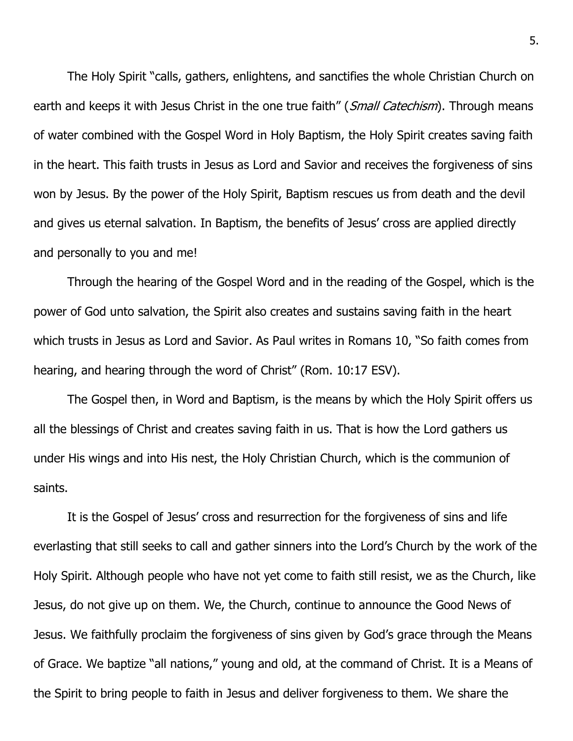The Holy Spirit "calls, gathers, enlightens, and sanctifies the whole Christian Church on earth and keeps it with Jesus Christ in the one true faith" (Small Catechism). Through means of water combined with the Gospel Word in Holy Baptism, the Holy Spirit creates saving faith in the heart. This faith trusts in Jesus as Lord and Savior and receives the forgiveness of sins won by Jesus. By the power of the Holy Spirit, Baptism rescues us from death and the devil and gives us eternal salvation. In Baptism, the benefits of Jesus' cross are applied directly and personally to you and me!

Through the hearing of the Gospel Word and in the reading of the Gospel, which is the power of God unto salvation, the Spirit also creates and sustains saving faith in the heart which trusts in Jesus as Lord and Savior. As Paul writes in Romans 10, "So faith comes from hearing, and hearing through the word of Christ" (Rom. 10:17 ESV).

The Gospel then, in Word and Baptism, is the means by which the Holy Spirit offers us all the blessings of Christ and creates saving faith in us. That is how the Lord gathers us under His wings and into His nest, the Holy Christian Church, which is the communion of saints.

It is the Gospel of Jesus' cross and resurrection for the forgiveness of sins and life everlasting that still seeks to call and gather sinners into the Lord's Church by the work of the Holy Spirit. Although people who have not yet come to faith still resist, we as the Church, like Jesus, do not give up on them. We, the Church, continue to announce the Good News of Jesus. We faithfully proclaim the forgiveness of sins given by God's grace through the Means of Grace. We baptize "all nations," young and old, at the command of Christ. It is a Means of the Spirit to bring people to faith in Jesus and deliver forgiveness to them. We share the